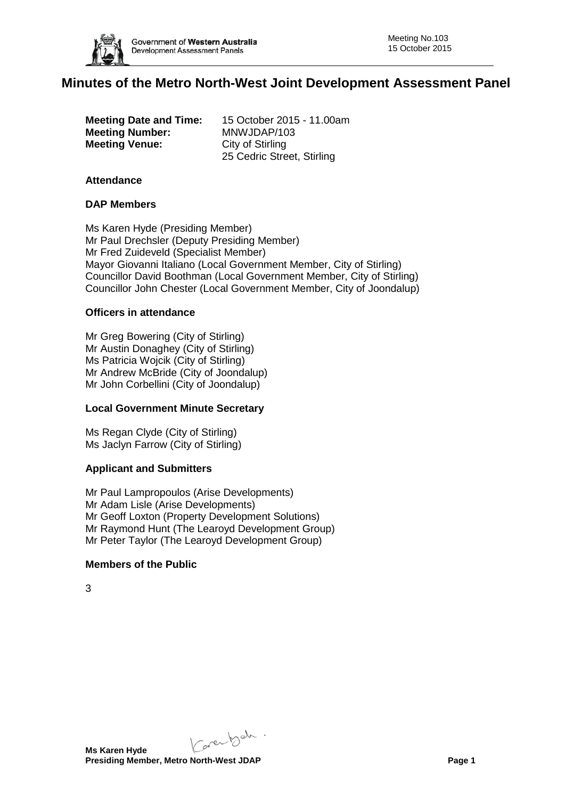

# **Minutes of the Metro North-West Joint Development Assessment Panel**

|                       | <b>Meeting Date and Time:</b> |
|-----------------------|-------------------------------|
|                       | <b>Meeting Number:</b>        |
| <b>Meeting Venue:</b> |                               |

**Meeting Date and Time:** 15 October 2015 - 11.00am **Meeting Number:** MNWJDAP/103 **City of Stirling** 25 Cedric Street, Stirling

#### **Attendance**

# **DAP Members**

Ms Karen Hyde (Presiding Member) Mr Paul Drechsler (Deputy Presiding Member) Mr Fred Zuideveld (Specialist Member) Mayor Giovanni Italiano (Local Government Member, City of Stirling) Councillor David Boothman (Local Government Member, City of Stirling) Councillor John Chester (Local Government Member, City of Joondalup)

### **Officers in attendance**

Mr Greg Bowering (City of Stirling) Mr Austin Donaghey (City of Stirling) Ms Patricia Wojcik (City of Stirling) Mr Andrew McBride (City of Joondalup) Mr John Corbellini (City of Joondalup)

# **Local Government Minute Secretary**

Ms Regan Clyde (City of Stirling) Ms Jaclyn Farrow (City of Stirling)

#### **Applicant and Submitters**

Mr Paul Lampropoulos (Arise Developments) Mr Adam Lisle (Arise Developments) Mr Geoff Loxton (Property Development Solutions) Mr Raymond Hunt (The Learoyd Development Group) Mr Peter Taylor (The Learoyd Development Group)

# **Members of the Public**

3

Karenbeh.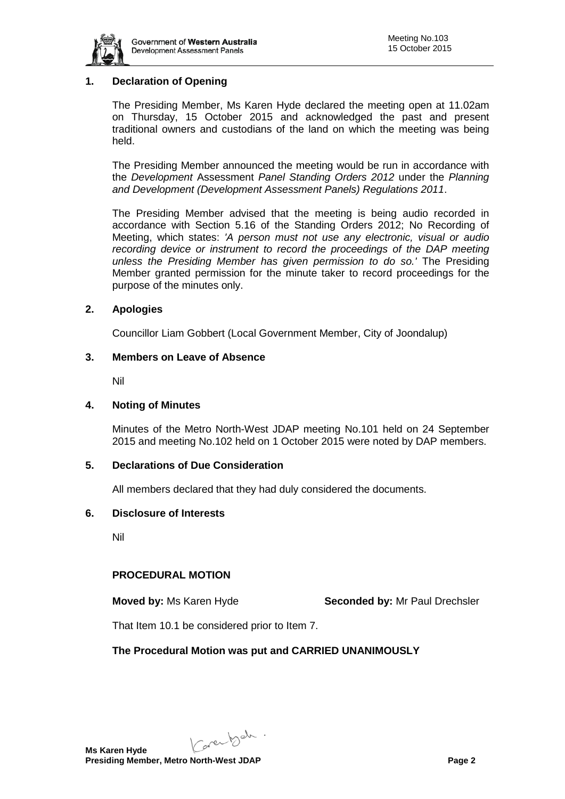

# **1. Declaration of Opening**

The Presiding Member, Ms Karen Hyde declared the meeting open at 11.02am on Thursday, 15 October 2015 and acknowledged the past and present traditional owners and custodians of the land on which the meeting was being held.

The Presiding Member announced the meeting would be run in accordance with the *Development* Assessment *Panel Standing Orders 2012* under the *Planning and Development (Development Assessment Panels) Regulations 2011*.

The Presiding Member advised that the meeting is being audio recorded in accordance with Section 5.16 of the Standing Orders 2012; No Recording of Meeting, which states: *'A person must not use any electronic, visual or audio recording device or instrument to record the proceedings of the DAP meeting unless the Presiding Member has given permission to do so.'* The Presiding Member granted permission for the minute taker to record proceedings for the purpose of the minutes only.

### **2. Apologies**

Councillor Liam Gobbert (Local Government Member, City of Joondalup)

### **3. Members on Leave of Absence**

Nil

### **4. Noting of Minutes**

Minutes of the Metro North-West JDAP meeting No.101 held on 24 September 2015 and meeting No.102 held on 1 October 2015 were noted by DAP members.

# **5. Declarations of Due Consideration**

All members declared that they had duly considered the documents.

#### **6. Disclosure of Interests**

Nil

# **PROCEDURAL MOTION**

**Moved by:** Ms Karen Hyde **Seconded by:** Mr Paul Drechsler

That Item 10.1 be considered prior to Item 7.

# **The Procedural Motion was put and CARRIED UNANIMOUSLY**

Karenbeh.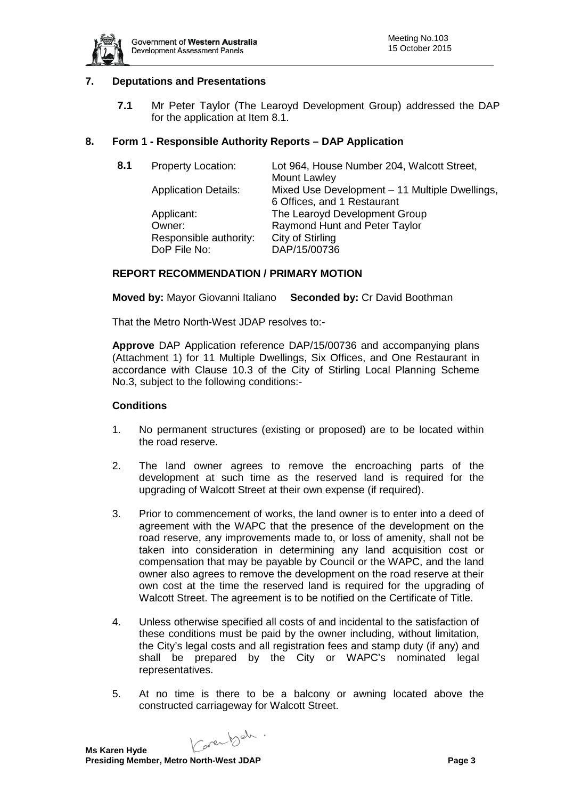

# **7. Deputations and Presentations**

**7.1** Mr Peter Taylor (The Learoyd Development Group) addressed the DAP for the application at Item 8.1.

### **8. Form 1 - Responsible Authority Reports – DAP Application**

| 8.1 | Property Location:          | Lot 964, House Number 204, Walcott Street,     |
|-----|-----------------------------|------------------------------------------------|
|     |                             | Mount Lawley                                   |
|     | <b>Application Details:</b> | Mixed Use Development - 11 Multiple Dwellings, |
|     |                             | 6 Offices, and 1 Restaurant                    |
|     | Applicant:                  | The Learoyd Development Group                  |
|     | Owner:                      | Raymond Hunt and Peter Taylor                  |
|     | Responsible authority:      | City of Stirling                               |
|     | DoP File No:                | DAP/15/00736                                   |
|     |                             |                                                |

### **REPORT RECOMMENDATION / PRIMARY MOTION**

**Moved by:** Mayor Giovanni Italiano **Seconded by:** Cr David Boothman

That the Metro North-West JDAP resolves to:-

**Approve** DAP Application reference DAP/15/00736 and accompanying plans (Attachment 1) for 11 Multiple Dwellings, Six Offices, and One Restaurant in accordance with Clause 10.3 of the City of Stirling Local Planning Scheme No.3, subject to the following conditions:-

#### **Conditions**

- 1. No permanent structures (existing or proposed) are to be located within the road reserve.
- 2. The land owner agrees to remove the encroaching parts of the development at such time as the reserved land is required for the upgrading of Walcott Street at their own expense (if required).
- 3. Prior to commencement of works, the land owner is to enter into a deed of agreement with the WAPC that the presence of the development on the road reserve, any improvements made to, or loss of amenity, shall not be taken into consideration in determining any land acquisition cost or compensation that may be payable by Council or the WAPC, and the land owner also agrees to remove the development on the road reserve at their own cost at the time the reserved land is required for the upgrading of Walcott Street. The agreement is to be notified on the Certificate of Title.
- 4. Unless otherwise specified all costs of and incidental to the satisfaction of these conditions must be paid by the owner including, without limitation, the City's legal costs and all registration fees and stamp duty (if any) and shall be prepared by the City or WAPC's nominated legal representatives.
- 5. At no time is there to be a balcony or awning located above the constructed carriageway for Walcott Street.

Karenbeh. **Ms Karen Hyde**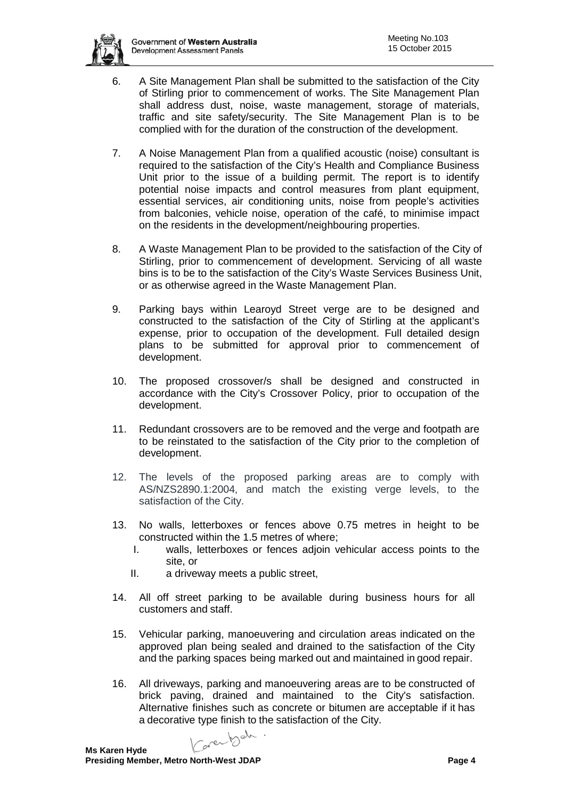- - 6. A Site Management Plan shall be submitted to the satisfaction of the City of Stirling prior to commencement of works. The Site Management Plan shall address dust, noise, waste management, storage of materials, traffic and site safety/security. The Site Management Plan is to be complied with for the duration of the construction of the development.
	- 7. A Noise Management Plan from a qualified acoustic (noise) consultant is required to the satisfaction of the City's Health and Compliance Business Unit prior to the issue of a building permit. The report is to identify potential noise impacts and control measures from plant equipment, essential services, air conditioning units, noise from people's activities from balconies, vehicle noise, operation of the café, to minimise impact on the residents in the development/neighbouring properties.
	- 8. A Waste Management Plan to be provided to the satisfaction of the City of Stirling, prior to commencement of development. Servicing of all waste bins is to be to the satisfaction of the City's Waste Services Business Unit, or as otherwise agreed in the Waste Management Plan.
	- 9. Parking bays within Learoyd Street verge are to be designed and constructed to the satisfaction of the City of Stirling at the applicant's expense, prior to occupation of the development. Full detailed design plans to be submitted for approval prior to commencement of development.
	- 10. The proposed crossover/s shall be designed and constructed in accordance with the City's Crossover Policy, prior to occupation of the development.
	- 11. Redundant crossovers are to be removed and the verge and footpath are to be reinstated to the satisfaction of the City prior to the completion of development.
	- 12. The levels of the proposed parking areas are to comply with AS/NZS2890.1:2004, and match the existing verge levels, to the satisfaction of the City.
	- 13. No walls, letterboxes or fences above 0.75 metres in height to be constructed within the 1.5 metres of where;
		- I. walls, letterboxes or fences adjoin vehicular access points to the site, or
		- II. a driveway meets a public street,
	- 14. All off street parking to be available during business hours for all customers and staff.
	- 15. Vehicular parking, manoeuvering and circulation areas indicated on the approved plan being sealed and drained to the satisfaction of the City and the parking spaces being marked out and maintained in good repair.
	- 16. All driveways, parking and manoeuvering areas are to be constructed of brick paving, drained and maintained to the City's satisfaction. Alternative finishes such as concrete or bitumen are acceptable if it has a decorative type finish to the satisfaction of the City.

Caren bah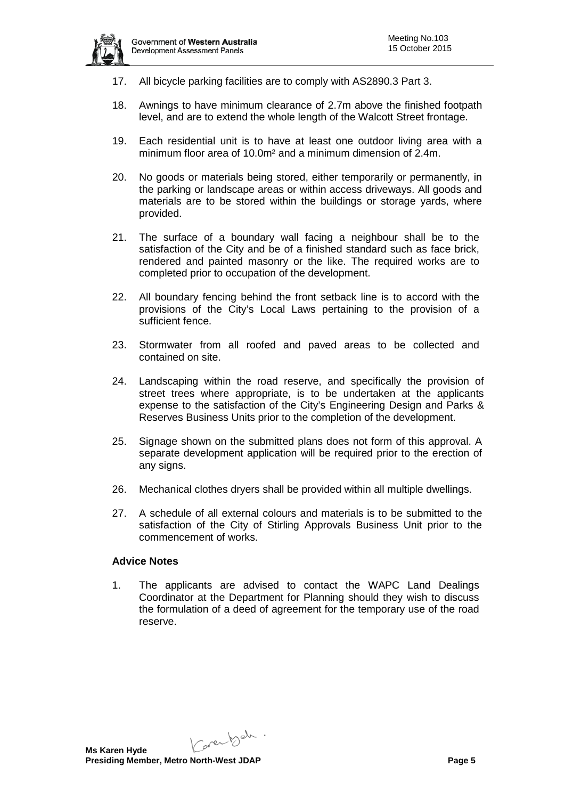

- 17. All bicycle parking facilities are to comply with AS2890.3 Part 3.
- 18. Awnings to have minimum clearance of 2.7m above the finished footpath level, and are to extend the whole length of the Walcott Street frontage.
- 19. Each residential unit is to have at least one outdoor living area with a minimum floor area of 10.0m² and a minimum dimension of 2.4m.
- 20. No goods or materials being stored, either temporarily or permanently, in the parking or landscape areas or within access driveways. All goods and materials are to be stored within the buildings or storage yards, where provided.
- 21. The surface of a boundary wall facing a neighbour shall be to the satisfaction of the City and be of a finished standard such as face brick, rendered and painted masonry or the like. The required works are to completed prior to occupation of the development.
- 22. All boundary fencing behind the front setback line is to accord with the provisions of the City's Local Laws pertaining to the provision of a sufficient fence.
- 23. Stormwater from all roofed and paved areas to be collected and contained on site.
- 24. Landscaping within the road reserve, and specifically the provision of street trees where appropriate, is to be undertaken at the applicants expense to the satisfaction of the City's Engineering Design and Parks & Reserves Business Units prior to the completion of the development.
- 25. Signage shown on the submitted plans does not form of this approval. A separate development application will be required prior to the erection of any signs.
- 26. Mechanical clothes dryers shall be provided within all multiple dwellings.
- 27. A schedule of all external colours and materials is to be submitted to the satisfaction of the City of Stirling Approvals Business Unit prior to the commencement of works.

#### **Advice Notes**

1. The applicants are advised to contact the WAPC Land Dealings Coordinator at the Department for Planning should they wish to discuss the formulation of a deed of agreement for the temporary use of the road reserve.

Karenbeh.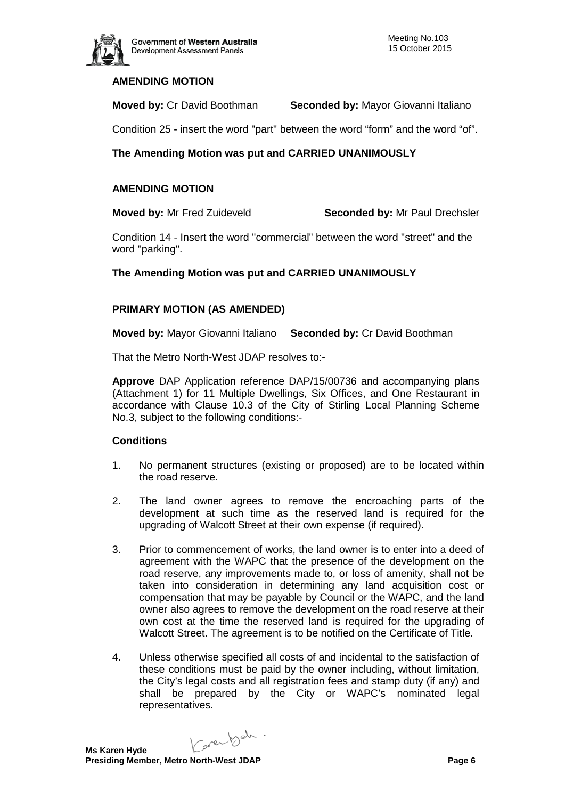

# **AMENDING MOTION**

**Moved by:** Cr David Boothman **Seconded by:** Mayor Giovanni Italiano

Condition 25 - insert the word "part" between the word "form" and the word "of".

# **The Amending Motion was put and CARRIED UNANIMOUSLY**

# **AMENDING MOTION**

**Moved by:** Mr Fred Zuideveld **Seconded by:** Mr Paul Drechsler

Condition 14 - Insert the word "commercial" between the word "street" and the word "parking".

# **The Amending Motion was put and CARRIED UNANIMOUSLY**

# **PRIMARY MOTION (AS AMENDED)**

**Moved by:** Mayor Giovanni Italiano **Seconded by:** Cr David Boothman

That the Metro North-West JDAP resolves to:-

**Approve** DAP Application reference DAP/15/00736 and accompanying plans (Attachment 1) for 11 Multiple Dwellings, Six Offices, and One Restaurant in accordance with Clause 10.3 of the City of Stirling Local Planning Scheme No.3, subject to the following conditions:-

# **Conditions**

- 1. No permanent structures (existing or proposed) are to be located within the road reserve.
- 2. The land owner agrees to remove the encroaching parts of the development at such time as the reserved land is required for the upgrading of Walcott Street at their own expense (if required).
- 3. Prior to commencement of works, the land owner is to enter into a deed of agreement with the WAPC that the presence of the development on the road reserve, any improvements made to, or loss of amenity, shall not be taken into consideration in determining any land acquisition cost or compensation that may be payable by Council or the WAPC, and the land owner also agrees to remove the development on the road reserve at their own cost at the time the reserved land is required for the upgrading of Walcott Street. The agreement is to be notified on the Certificate of Title.
- 4. Unless otherwise specified all costs of and incidental to the satisfaction of these conditions must be paid by the owner including, without limitation, the City's legal costs and all registration fees and stamp duty (if any) and shall be prepared by the City or WAPC's nominated legal representatives.

Carentsch.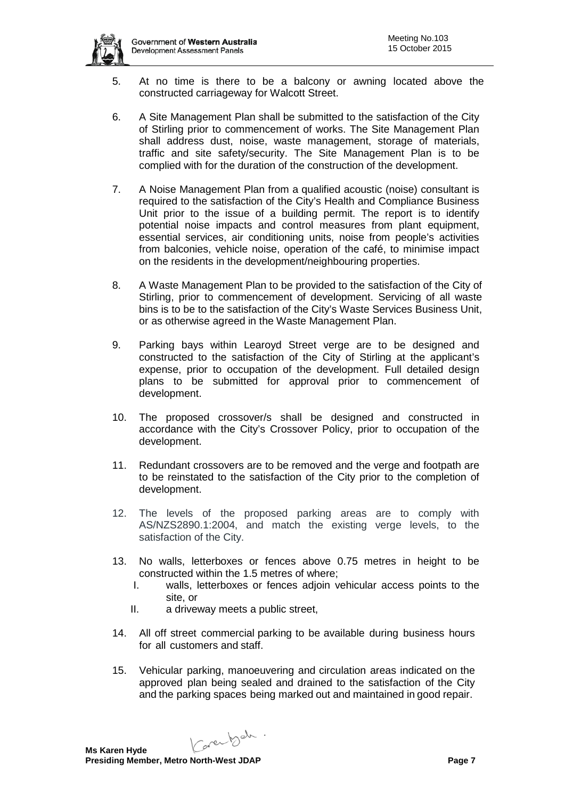

- 5. At no time is there to be a balcony or awning located above the constructed carriageway for Walcott Street.
- 6. A Site Management Plan shall be submitted to the satisfaction of the City of Stirling prior to commencement of works. The Site Management Plan shall address dust, noise, waste management, storage of materials, traffic and site safety/security. The Site Management Plan is to be complied with for the duration of the construction of the development.
- 7. A Noise Management Plan from a qualified acoustic (noise) consultant is required to the satisfaction of the City's Health and Compliance Business Unit prior to the issue of a building permit. The report is to identify potential noise impacts and control measures from plant equipment, essential services, air conditioning units, noise from people's activities from balconies, vehicle noise, operation of the café, to minimise impact on the residents in the development/neighbouring properties.
- 8. A Waste Management Plan to be provided to the satisfaction of the City of Stirling, prior to commencement of development. Servicing of all waste bins is to be to the satisfaction of the City's Waste Services Business Unit, or as otherwise agreed in the Waste Management Plan.
- 9. Parking bays within Learoyd Street verge are to be designed and constructed to the satisfaction of the City of Stirling at the applicant's expense, prior to occupation of the development. Full detailed design plans to be submitted for approval prior to commencement of development.
- 10. The proposed crossover/s shall be designed and constructed in accordance with the City's Crossover Policy, prior to occupation of the development.
- 11. Redundant crossovers are to be removed and the verge and footpath are to be reinstated to the satisfaction of the City prior to the completion of development.
- 12. The levels of the proposed parking areas are to comply with AS/NZS2890.1:2004, and match the existing verge levels, to the satisfaction of the City.
- 13. No walls, letterboxes or fences above 0.75 metres in height to be constructed within the 1.5 metres of where;
	- I. walls, letterboxes or fences adjoin vehicular access points to the site, or
	- II. a driveway meets a public street,
- 14. All off street commercial parking to be available during business hours for all customers and staff.
- 15. Vehicular parking, manoeuvering and circulation areas indicated on the approved plan being sealed and drained to the satisfaction of the City and the parking spaces being marked out and maintained in good repair.

Karenbeh.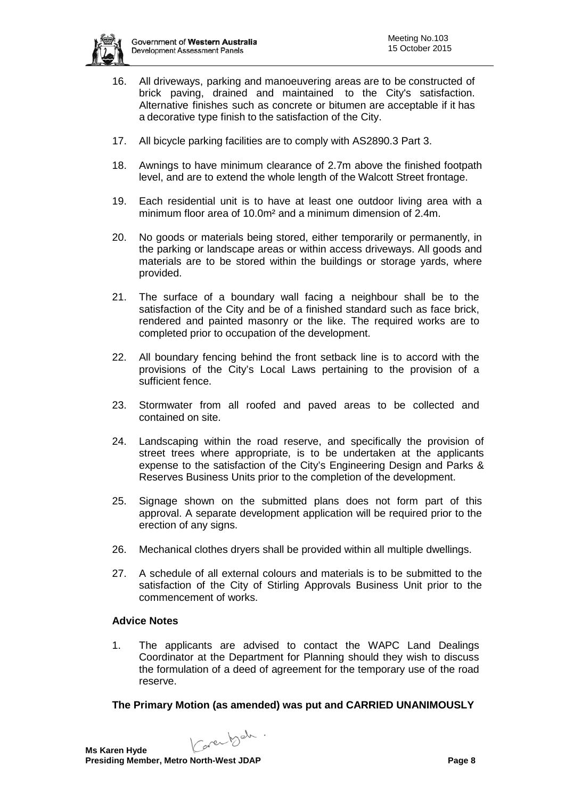

- 16. All driveways, parking and manoeuvering areas are to be constructed of brick paving, drained and maintained to the City's satisfaction. Alternative finishes such as concrete or bitumen are acceptable if it has a decorative type finish to the satisfaction of the City.
- 17. All bicycle parking facilities are to comply with AS2890.3 Part 3.
- 18. Awnings to have minimum clearance of 2.7m above the finished footpath level, and are to extend the whole length of the Walcott Street frontage.
- 19. Each residential unit is to have at least one outdoor living area with a minimum floor area of 10.0m² and a minimum dimension of 2.4m.
- 20. No goods or materials being stored, either temporarily or permanently, in the parking or landscape areas or within access driveways. All goods and materials are to be stored within the buildings or storage yards, where provided.
- 21. The surface of a boundary wall facing a neighbour shall be to the satisfaction of the City and be of a finished standard such as face brick, rendered and painted masonry or the like. The required works are to completed prior to occupation of the development.
- 22. All boundary fencing behind the front setback line is to accord with the provisions of the City's Local Laws pertaining to the provision of a sufficient fence.
- 23. Stormwater from all roofed and paved areas to be collected and contained on site.
- 24. Landscaping within the road reserve, and specifically the provision of street trees where appropriate, is to be undertaken at the applicants expense to the satisfaction of the City's Engineering Design and Parks & Reserves Business Units prior to the completion of the development.
- 25. Signage shown on the submitted plans does not form part of this approval. A separate development application will be required prior to the erection of any signs.
- 26. Mechanical clothes dryers shall be provided within all multiple dwellings.
- 27. A schedule of all external colours and materials is to be submitted to the satisfaction of the City of Stirling Approvals Business Unit prior to the commencement of works.

# **Advice Notes**

1. The applicants are advised to contact the WAPC Land Dealings Coordinator at the Department for Planning should they wish to discuss the formulation of a deed of agreement for the temporary use of the road reserve.

#### **The Primary Motion (as amended) was put and CARRIED UNANIMOUSLY**

Carentsch.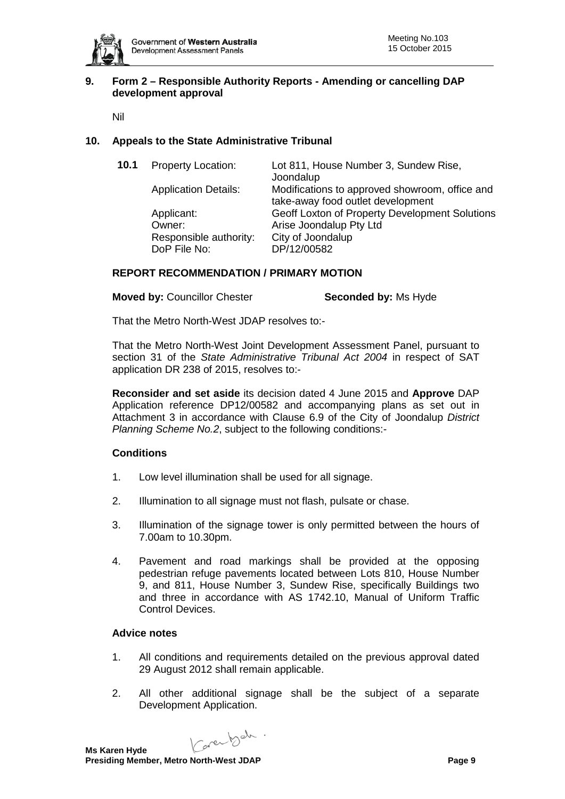

# **9. Form 2 – Responsible Authority Reports - Amending or cancelling DAP development approval**

Nil

# **10. Appeals to the State Administrative Tribunal**

| 10.1 | <b>Property Location:</b>              | Lot 811, House Number 3, Sundew Rise,<br>Joondalup                                  |
|------|----------------------------------------|-------------------------------------------------------------------------------------|
|      | <b>Application Details:</b>            | Modifications to approved showroom, office and<br>take-away food outlet development |
|      | Applicant:                             | Geoff Loxton of Property Development Solutions                                      |
|      | Owner:                                 | Arise Joondalup Pty Ltd                                                             |
|      | Responsible authority:<br>DoP File No: | City of Joondalup<br>DP/12/00582                                                    |
|      |                                        |                                                                                     |

### **REPORT RECOMMENDATION / PRIMARY MOTION**

**Moved by: Councillor Chester <b>Seconded by:** Ms Hyde

That the Metro North-West JDAP resolves to:-

That the Metro North-West Joint Development Assessment Panel, pursuant to section 31 of the *State Administrative Tribunal Act 2004* in respect of SAT application DR 238 of 2015, resolves to:-

**Reconsider and set aside** its decision dated 4 June 2015 and **Approve** DAP Application reference DP12/00582 and accompanying plans as set out in Attachment 3 in accordance with Clause 6.9 of the City of Joondalup *District Planning Scheme No.2*, subject to the following conditions:-

# **Conditions**

- 1. Low level illumination shall be used for all signage.
- 2. Illumination to all signage must not flash, pulsate or chase.
- 3. Illumination of the signage tower is only permitted between the hours of 7.00am to 10.30pm.
- 4. Pavement and road markings shall be provided at the opposing pedestrian refuge pavements located between Lots 810, House Number 9, and 811, House Number 3, Sundew Rise, specifically Buildings two and three in accordance with AS 1742.10, Manual of Uniform Traffic Control Devices.

#### **Advice notes**

- 1. All conditions and requirements detailed on the previous approval dated 29 August 2012 shall remain applicable.
- 2. All other additional signage shall be the subject of a separate Development Application.

Carentsch.